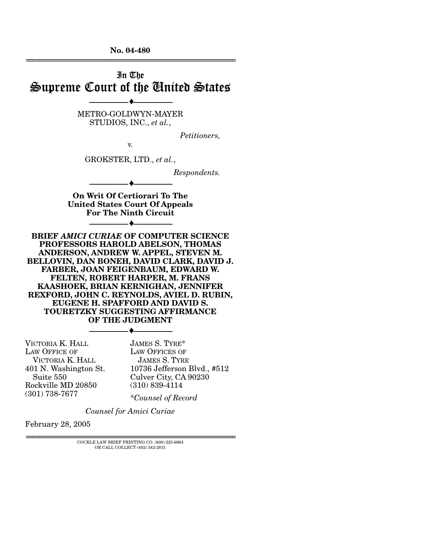**No. 04-480**  ================================================================

# In The Supreme Court of the United States

METRO-GOLDWYN-MAYER STUDIOS, INC., *et al.*,

--------------------------------- ♦ ---------------------------------

*Petitioners,* 

GROKSTER, LTD., *et al.*,

--------------------------------- ♦ ---------------------------------

v.

*Respondents.* 

**On Writ Of Certiorari To The United States Court Of Appeals For The Ninth Circuit** 

--------------------------------- ♦ ---------------------------------

**BRIEF** *AMICI CURIAE* **OF COMPUTER SCIENCE PROFESSORS HAROLD ABELSON, THOMAS ANDERSON, ANDREW W. APPEL, STEVEN M. BELLOVIN, DAN BONEH, DAVID CLARK, DAVID J. FARBER, JOAN FEIGENBAUM, EDWARD W. FELTEN, ROBERT HARPER, M. FRANS KAASHOEK, BRIAN KERNIGHAN, JENNIFER REXFORD, JOHN C. REYNOLDS, AVIEL D. RUBIN, EUGENE H. SPAFFORD AND DAVID S. TOURETZKY SUGGESTING AFFIRMANCE OF THE JUDGMENT** 

--------------------------------- ♦ ---------------------------------

VICTORIA K. HALL LAW OFFICE OF VICTORIA K. HALL 401 N. Washington St. Suite 550 Rockville MD 20850 (301) 738-7677

JAMES S. TYRE\* LAW OFFICES OF JAMES S. TYRE 10736 Jefferson Blvd., #512 Culver City, CA 90230 (310) 839-4114

\**Counsel of Record*

*Counsel for Amici Curiae*

February 28, 2005

================================================================ COCKLE LAW BRIEF PRINTING CO. (800) 225-6964 OR CALL COLLECT (402) 342-2831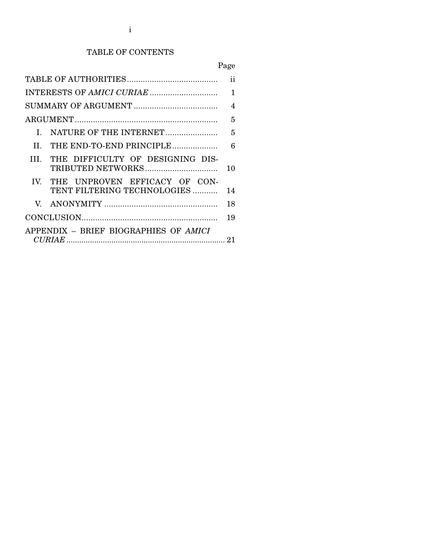## TABLE OF CONTENTS

## Page

| ii                                          |                                                              |    |
|---------------------------------------------|--------------------------------------------------------------|----|
|                                             |                                                              | 1  |
|                                             |                                                              |    |
|                                             |                                                              | 5  |
| L                                           |                                                              | 5  |
| H.                                          | THE END-TO-END PRINCIPLE                                     | 6  |
| HL.                                         | THE DIFFICULTY OF DESIGNING DIS-                             | 10 |
| $\mathbf{IV}$                               | THE UNPROVEN EFFICACY OF CON-<br>TENT FILTERING TECHNOLOGIES | 14 |
| V.                                          |                                                              | 18 |
|                                             |                                                              | 19 |
| APPENDIX - BRIEF BIOGRAPHIES OF AMICI<br>21 |                                                              |    |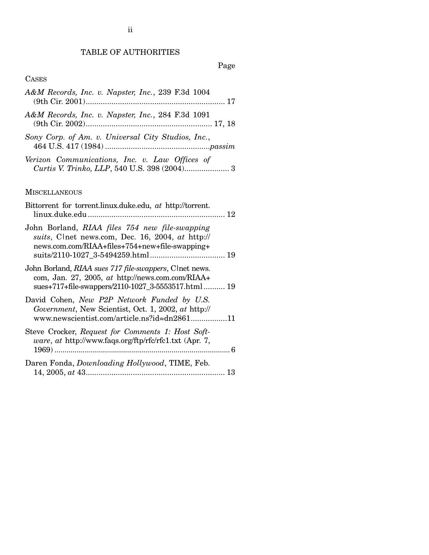## TABLE OF AUTHORITIES

### Page

#### **CASES**

- *A&M Records, Inc. v. Napster, Inc.*, 239 F.3d 1004 (9th Cir. 2001)................................................................. 17 *A&M Records, Inc. v. Napster, Inc.*, 284 F.3d 1091
- (9th Cir. 2002)........................................................... 17, 18
- *Sony Corp. of Am. v. Universal City Studios, Inc.*, 464 U.S. 417 (1984) .................................................*passim*
- *Verizon Communications, Inc. v. Law Offices of Curtis V. Trinko, LLP*, 540 U.S. 398 (2004)..................... 3

#### **MISCELLANEOUS**

| Bittorrent for torrent.linux.duke.edu, at http://torrent.                                                                                                        |
|------------------------------------------------------------------------------------------------------------------------------------------------------------------|
| John Borland, RIAA files 754 new file-swapping<br>suits, Clnet news.com, Dec. 16, 2004, at http://<br>news.com.com/RIAA+files+754+new+file-swapping+             |
| John Borland, RIAA sues 717 file-swappers, Clnet news.<br>com, Jan. 27, 2005, at http://news.com.com/RIAA+<br>sues+717+file-swappers/2110-1027_3-5553517.html 19 |
| David Cohen, New P2P Network Funded by U.S.<br>Government, New Scientist, Oct. 1, 2002, at http://<br>www.newscientist.com/article.ns?id=dn286111                |
| Steve Crocker, Request for Comments 1: Host Soft-<br><i>ware, at http://www.faqs.org/ftp/rfc/rfc1.txt (Apr. 7,</i>                                               |
| Daren Fonda, <i>Downloading Hollywood</i> , TIME, Feb.                                                                                                           |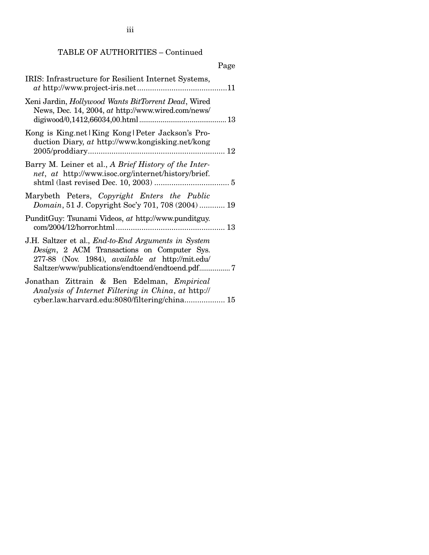TABLE OF AUTHORITIES – Continued

|                                                                                                                                                                                                                          | Page |
|--------------------------------------------------------------------------------------------------------------------------------------------------------------------------------------------------------------------------|------|
| IRIS: Infrastructure for Resilient Internet Systems,                                                                                                                                                                     |      |
| Xeni Jardin, Hollywood Wants BitTorrent Dead, Wired<br>News, Dec. 14, 2004, at http://www.wired.com/news/                                                                                                                |      |
| Kong is King.net   King Kong   Peter Jackson's Pro-<br>duction Diary, at http://www.kongisking.net/kong                                                                                                                  |      |
| Barry M. Leiner et al., A Brief History of the Inter-<br>net, at http://www.isoc.org/internet/history/brief.                                                                                                             |      |
| Marybeth Peters, Copyright Enters the Public<br>Domain, 51 J. Copyright Soc'y 701, 708 (2004)  19                                                                                                                        |      |
| PunditGuy: Tsunami Videos, at http://www.punditguy.                                                                                                                                                                      |      |
| J.H. Saltzer et al., <i>End-to-End Arguments in System</i><br>Design, 2 ACM Transactions on Computer Sys.<br>277-88 (Nov. 1984), <i>available at</i> http://mit.edu/<br>Saltzer/www/publications/endtoend/endtoend.pdf 7 |      |
| Jonathan Zittrain & Ben Edelman, <i>Empirical</i><br>Analysis of Internet Filtering in China, at http://<br>cyber.law.harvard.edu:8080/filtering/china 15                                                                |      |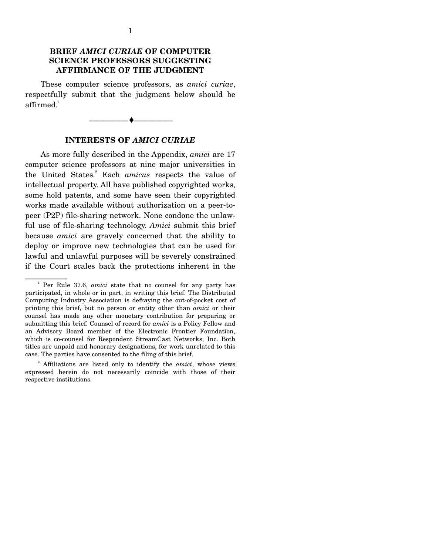## **BRIEF** *AMICI CURIAE* **OF COMPUTER SCIENCE PROFESSORS SUGGESTING AFFIRMANCE OF THE JUDGMENT**

 These computer science professors, as *amici curiae*, respectfully submit that the judgment below should be  $affirmed.<sup>1</sup>$ 

**INTERESTS OF** *AMICI CURIAE*

--------------------------------- ♦ ---------------------------------

 As more fully described in the Appendix, *amici* are 17 computer science professors at nine major universities in the United States.<sup>2</sup> Each *amicus* respects the value of intellectual property. All have published copyrighted works, some hold patents, and some have seen their copyrighted works made available without authorization on a peer-topeer (P2P) file-sharing network. None condone the unlawful use of file-sharing technology. *Amici* submit this brief because *amici* are gravely concerned that the ability to deploy or improve new technologies that can be used for lawful and unlawful purposes will be severely constrained if the Court scales back the protections inherent in the

 $\frac{1}{2}$  Per Rule 37.6, *amici* state that no counsel for any party has participated, in whole or in part, in writing this brief. The Distributed Computing Industry Association is defraying the out-of-pocket cost of printing this brief, but no person or entity other than *amici* or their counsel has made any other monetary contribution for preparing or submitting this brief. Counsel of record for *amici* is a Policy Fellow and an Advisory Board member of the Electronic Frontier Foundation, which is co-counsel for Respondent StreamCast Networks, Inc. Both titles are unpaid and honorary designations, for work unrelated to this case. The parties have consented to the filing of this brief.

<sup>&</sup>lt;sup>2</sup> Affiliations are listed only to identify the *amici*, whose views expressed herein do not necessarily coincide with those of their respective institutions.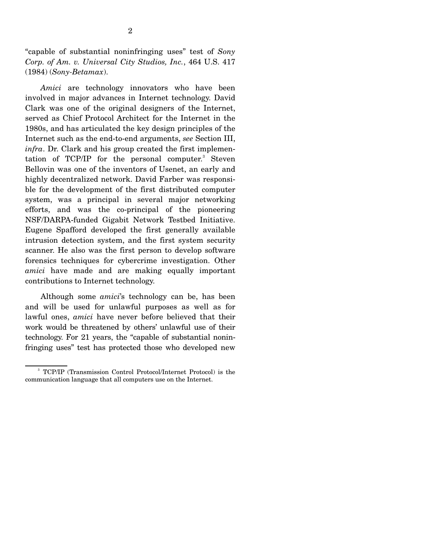"capable of substantial noninfringing uses" test of *Sony Corp. of Am. v. Universal City Studios, Inc.*, 464 U.S. 417 (1984) (*Sony-Betamax*).

 *Amici* are technology innovators who have been involved in major advances in Internet technology. David Clark was one of the original designers of the Internet, served as Chief Protocol Architect for the Internet in the 1980s, and has articulated the key design principles of the Internet such as the end-to-end arguments, *see* Section III, *infra*. Dr. Clark and his group created the first implementation of TCP/IP for the personal computer.<sup>3</sup> Steven Bellovin was one of the inventors of Usenet, an early and highly decentralized network. David Farber was responsible for the development of the first distributed computer system, was a principal in several major networking efforts, and was the co-principal of the pioneering NSF/DARPA-funded Gigabit Network Testbed Initiative. Eugene Spafford developed the first generally available intrusion detection system, and the first system security scanner. He also was the first person to develop software forensics techniques for cybercrime investigation. Other *amici* have made and are making equally important contributions to Internet technology.

 Although some *amici*'s technology can be, has been and will be used for unlawful purposes as well as for lawful ones, *amici* have never before believed that their work would be threatened by others' unlawful use of their technology. For 21 years, the "capable of substantial noninfringing uses" test has protected those who developed new

<sup>3</sup> TCP/IP (Transmission Control Protocol/Internet Protocol) is the communication language that all computers use on the Internet.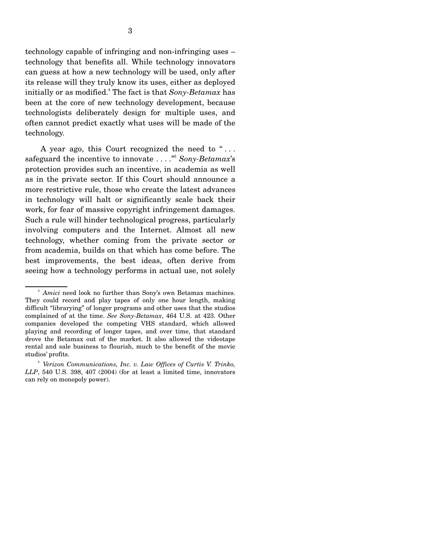technology capable of infringing and non-infringing uses – technology that benefits all. While technology innovators can guess at how a new technology will be used, only after its release will they truly know its uses, either as deployed initially or as modified.4 The fact is that *Sony-Betamax* has been at the core of new technology development, because technologists deliberately design for multiple uses, and often cannot predict exactly what uses will be made of the technology.

 A year ago, this Court recognized the need to " . . . safeguard the incentive to innovate . . . ."5 *Sony-Betamax*'s protection provides such an incentive, in academia as well as in the private sector. If this Court should announce a more restrictive rule, those who create the latest advances in technology will halt or significantly scale back their work, for fear of massive copyright infringement damages. Such a rule will hinder technological progress, particularly involving computers and the Internet. Almost all new technology, whether coming from the private sector or from academia, builds on that which has come before. The best improvements, the best ideas, often derive from seeing how a technology performs in actual use, not solely

<sup>4</sup> *Amici* need look no further than Sony's own Betamax machines. They could record and play tapes of only one hour length, making difficult "librarying" of longer programs and other uses that the studios complained of at the time. *See Sony-Betamax*, 464 U.S. at 423. Other companies developed the competing VHS standard, which allowed playing and recording of longer tapes, and over time, that standard drove the Betamax out of the market. It also allowed the videotape rental and sale business to flourish, much to the benefit of the movie studios' profits.

<sup>5</sup> *Verizon Communications, Inc. v. Law Offices of Curtis V. Trinko, LLP*, 540 U.S. 398, 407 (2004) (for at least a limited time, innovators can rely on monopoly power).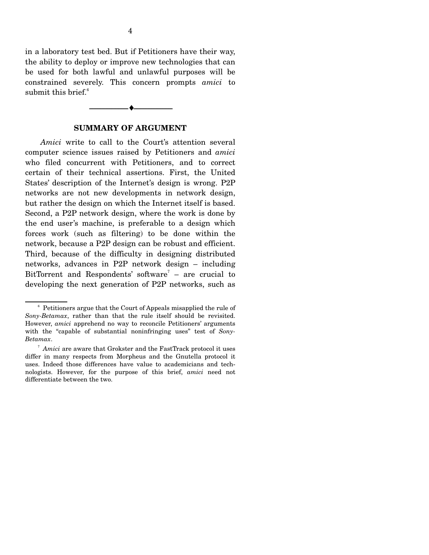in a laboratory test bed. But if Petitioners have their way, the ability to deploy or improve new technologies that can be used for both lawful and unlawful purposes will be constrained severely. This concern prompts *amici* to submit this brief.<sup>6</sup>

### **SUMMARY OF ARGUMENT**

--------------------------------- ♦ ---------------------------------

 *Amici* write to call to the Court's attention several computer science issues raised by Petitioners and *amici* who filed concurrent with Petitioners, and to correct certain of their technical assertions. First, the United States' description of the Internet's design is wrong. P2P networks are not new developments in network design, but rather the design on which the Internet itself is based. Second, a P2P network design, where the work is done by the end user's machine, is preferable to a design which forces work (such as filtering) to be done within the network, because a P2P design can be robust and efficient. Third, because of the difficulty in designing distributed networks, advances in P2P network design – including BitTorrent and Respondents' software<sup>7</sup> – are crucial to developing the next generation of P2P networks, such as

<sup>&</sup>lt;sup>6</sup> Petitioners argue that the Court of Appeals misapplied the rule of *Sony-Betamax*, rather than that the rule itself should be revisited. However, *amici* apprehend no way to reconcile Petitioners' arguments with the "capable of substantial noninfringing uses" test of *Sony-Betamax*.

<sup>&</sup>lt;sup>7</sup> Amici are aware that Grokster and the FastTrack protocol it uses differ in many respects from Morpheus and the Gnutella protocol it uses. Indeed those differences have value to academicians and technologists. However, for the purpose of this brief, *amici* need not differentiate between the two.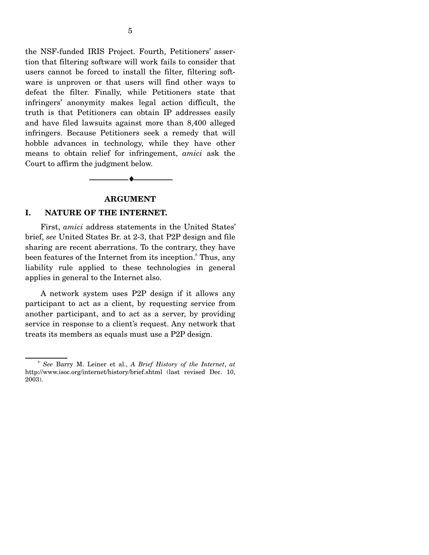the NSF-funded IRIS Project. Fourth, Petitioners' assertion that filtering software will work fails to consider that users cannot be forced to install the filter, filtering software is unproven or that users will find other ways to defeat the filter. Finally, while Petitioners state that infringers' anonymity makes legal action difficult, the truth is that Petitioners can obtain IP addresses easily and have filed lawsuits against more than 8,400 alleged infringers. Because Petitioners seek a remedy that will hobble advances in technology, while they have other means to obtain relief for infringement, *amici* ask the Court to affirm the judgment below.

#### **ARGUMENT**

--------------------------------- ♦ ---------------------------------

#### **I. NATURE OF THE INTERNET.**

 First, *amici* address statements in the United States' brief, *see* United States Br. at 2-3, that P2P design and file sharing are recent aberrations. To the contrary, they have been features of the Internet from its inception.<sup>8</sup> Thus, any liability rule applied to these technologies in general applies in general to the Internet also.

 A network system uses P2P design if it allows any participant to act as a client, by requesting service from another participant, and to act as a server, by providing service in response to a client's request. Any network that treats its members as equals must use a P2P design.

<sup>8</sup> *See* Barry M. Leiner et al., *A Brief History of the Internet*, *at* http://www.isoc.org/internet/history/brief.shtml (last revised Dec. 10, 2003).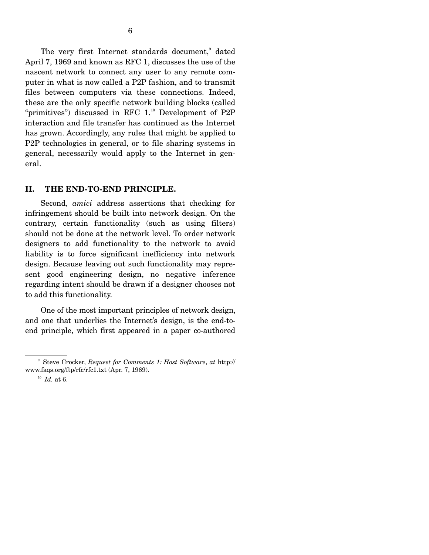The very first Internet standards document,<sup>9</sup> dated April 7, 1969 and known as RFC 1, discusses the use of the nascent network to connect any user to any remote computer in what is now called a P2P fashion, and to transmit files between computers via these connections. Indeed, these are the only specific network building blocks (called "primitives") discussed in RFC  $1.^{10}$  Development of P2P interaction and file transfer has continued as the Internet has grown. Accordingly, any rules that might be applied to P2P technologies in general, or to file sharing systems in general, necessarily would apply to the Internet in general.

## **II. THE END-TO-END PRINCIPLE.**

 Second, *amici* address assertions that checking for infringement should be built into network design. On the contrary, certain functionality (such as using filters) should not be done at the network level. To order network designers to add functionality to the network to avoid liability is to force significant inefficiency into network design. Because leaving out such functionality may represent good engineering design, no negative inference regarding intent should be drawn if a designer chooses not to add this functionality.

 One of the most important principles of network design, and one that underlies the Internet's design, is the end-toend principle, which first appeared in a paper co-authored

<sup>9</sup> Steve Crocker, *Request for Comments 1: Host Software*, *at* http:// www.faqs.org/ftp/rfc/rfc1.txt (Apr. 7, 1969).

 $^{10}$  *Id.* at 6.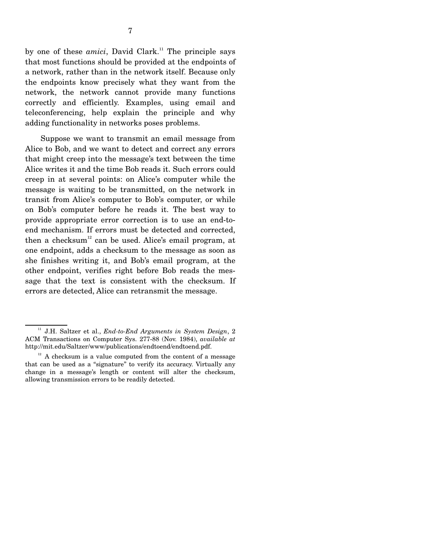by one of these *amici*, David Clark.<sup>11</sup> The principle says that most functions should be provided at the endpoints of a network, rather than in the network itself. Because only the endpoints know precisely what they want from the network, the network cannot provide many functions correctly and efficiently. Examples, using email and teleconferencing, help explain the principle and why adding functionality in networks poses problems.

 Suppose we want to transmit an email message from Alice to Bob, and we want to detect and correct any errors that might creep into the message's text between the time Alice writes it and the time Bob reads it. Such errors could creep in at several points: on Alice's computer while the message is waiting to be transmitted, on the network in transit from Alice's computer to Bob's computer, or while on Bob's computer before he reads it. The best way to provide appropriate error correction is to use an end-toend mechanism. If errors must be detected and corrected, then a checksum<sup>12</sup> can be used. Alice's email program, at one endpoint, adds a checksum to the message as soon as she finishes writing it, and Bob's email program, at the other endpoint, verifies right before Bob reads the message that the text is consistent with the checksum. If errors are detected, Alice can retransmit the message.

<sup>&</sup>lt;sup>11</sup> J.H. Saltzer et al., *End-to-End Arguments in System Design*, 2 ACM Transactions on Computer Sys. 277-88 (Nov. 1984), *available at* http://mit.edu/Saltzer/www/publications/endtoend/endtoend.pdf.

 $12$ <sup>12</sup> A checksum is a value computed from the content of a message that can be used as a "signature" to verify its accuracy. Virtually any change in a message's length or content will alter the checksum, allowing transmission errors to be readily detected.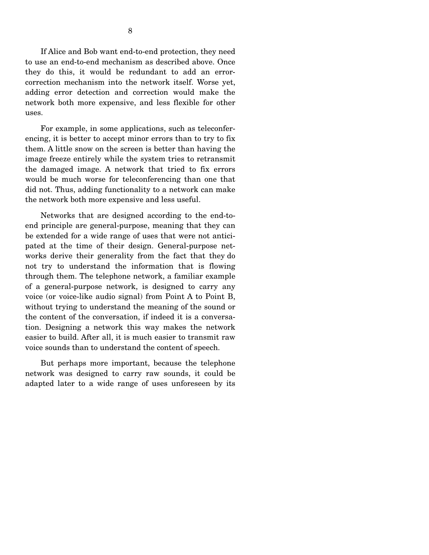If Alice and Bob want end-to-end protection, they need to use an end-to-end mechanism as described above. Once they do this, it would be redundant to add an errorcorrection mechanism into the network itself. Worse yet, adding error detection and correction would make the network both more expensive, and less flexible for other uses.

 For example, in some applications, such as teleconferencing, it is better to accept minor errors than to try to fix them. A little snow on the screen is better than having the image freeze entirely while the system tries to retransmit the damaged image. A network that tried to fix errors would be much worse for teleconferencing than one that did not. Thus, adding functionality to a network can make the network both more expensive and less useful.

 Networks that are designed according to the end-toend principle are general-purpose, meaning that they can be extended for a wide range of uses that were not anticipated at the time of their design. General-purpose networks derive their generality from the fact that they do not try to understand the information that is flowing through them. The telephone network, a familiar example of a general-purpose network, is designed to carry any voice (or voice-like audio signal) from Point A to Point B, without trying to understand the meaning of the sound or the content of the conversation, if indeed it is a conversation. Designing a network this way makes the network easier to build. After all, it is much easier to transmit raw voice sounds than to understand the content of speech.

 But perhaps more important, because the telephone network was designed to carry raw sounds, it could be adapted later to a wide range of uses unforeseen by its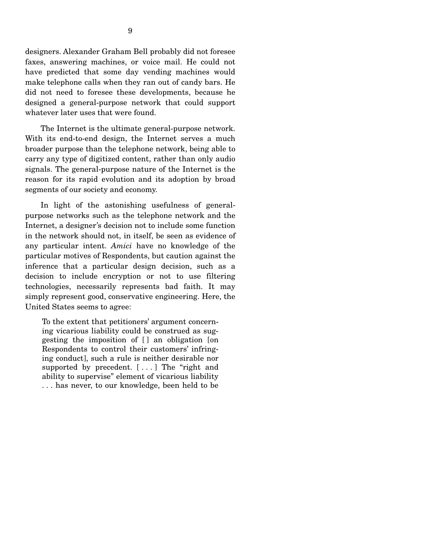The Internet is the ultimate general-purpose network. With its end-to-end design, the Internet serves a much broader purpose than the telephone network, being able to carry any type of digitized content, rather than only audio signals. The general-purpose nature of the Internet is the reason for its rapid evolution and its adoption by broad segments of our society and economy.

 In light of the astonishing usefulness of generalpurpose networks such as the telephone network and the Internet, a designer's decision not to include some function in the network should not, in itself, be seen as evidence of any particular intent. *Amici* have no knowledge of the particular motives of Respondents, but caution against the inference that a particular design decision, such as a decision to include encryption or not to use filtering technologies, necessarily represents bad faith. It may simply represent good, conservative engineering. Here, the United States seems to agree:

To the extent that petitioners' argument concerning vicarious liability could be construed as suggesting the imposition of [ ] an obligation [on Respondents to control their customers' infringing conduct], such a rule is neither desirable nor supported by precedent.  $[\ldots]$  The "right and ability to supervise" element of vicarious liability . . . has never, to our knowledge, been held to be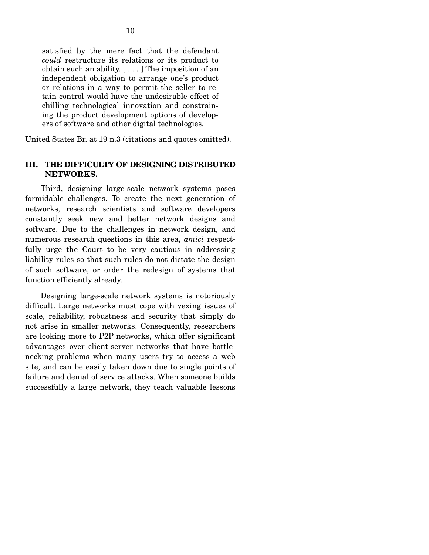satisfied by the mere fact that the defendant *could* restructure its relations or its product to obtain such an ability. [ . . . ] The imposition of an independent obligation to arrange one's product or relations in a way to permit the seller to retain control would have the undesirable effect of chilling technological innovation and constraining the product development options of developers of software and other digital technologies.

United States Br. at 19 n.3 (citations and quotes omitted).

#### **III. THE DIFFICULTY OF DESIGNING DISTRIBUTED NETWORKS.**

 Third, designing large-scale network systems poses formidable challenges. To create the next generation of networks, research scientists and software developers constantly seek new and better network designs and software. Due to the challenges in network design, and numerous research questions in this area, *amici* respectfully urge the Court to be very cautious in addressing liability rules so that such rules do not dictate the design of such software, or order the redesign of systems that function efficiently already.

 Designing large-scale network systems is notoriously difficult. Large networks must cope with vexing issues of scale, reliability, robustness and security that simply do not arise in smaller networks. Consequently, researchers are looking more to P2P networks, which offer significant advantages over client-server networks that have bottlenecking problems when many users try to access a web site, and can be easily taken down due to single points of failure and denial of service attacks. When someone builds successfully a large network, they teach valuable lessons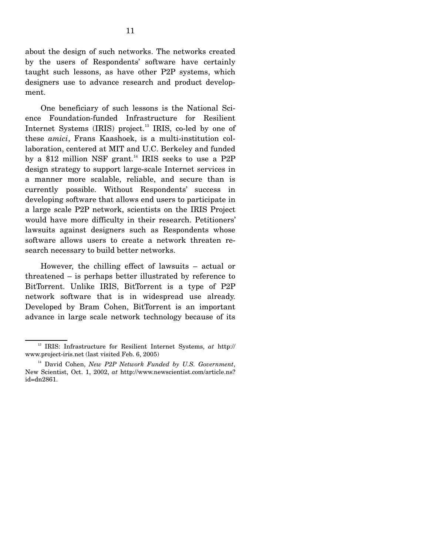about the design of such networks. The networks created by the users of Respondents' software have certainly taught such lessons, as have other P2P systems, which designers use to advance research and product development.

 One beneficiary of such lessons is the National Science Foundation-funded Infrastructure for Resilient Internet Systems (IRIS) project.<sup>13</sup> IRIS, co-led by one of these *amici*, Frans Kaashoek, is a multi-institution collaboration, centered at MIT and U.C. Berkeley and funded by a \$12 million NSF grant.<sup>14</sup> IRIS seeks to use a P2P design strategy to support large-scale Internet services in a manner more scalable, reliable, and secure than is currently possible. Without Respondents' success in developing software that allows end users to participate in a large scale P2P network, scientists on the IRIS Project would have more difficulty in their research. Petitioners' lawsuits against designers such as Respondents whose software allows users to create a network threaten research necessary to build better networks.

 However, the chilling effect of lawsuits – actual or threatened – is perhaps better illustrated by reference to BitTorrent. Unlike IRIS, BitTorrent is a type of P2P network software that is in widespread use already. Developed by Bram Cohen, BitTorrent is an important advance in large scale network technology because of its

13 IRIS: Infrastructure for Resilient Internet Systems, *at* http:// www.project-iris.net (last visited Feb. 6, 2005)

14 David Cohen, *New P2P Network Funded by U.S. Government*, New Scientist, Oct. 1, 2002, *at* http://www.newscientist.com/article.ns? id=dn2861.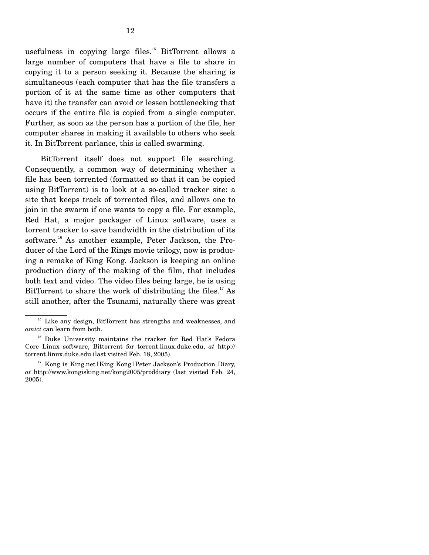usefulness in copying large files.<sup>15</sup> BitTorrent allows a large number of computers that have a file to share in copying it to a person seeking it. Because the sharing is simultaneous (each computer that has the file transfers a portion of it at the same time as other computers that have it) the transfer can avoid or lessen bottlenecking that occurs if the entire file is copied from a single computer. Further, as soon as the person has a portion of the file, her computer shares in making it available to others who seek it. In BitTorrent parlance, this is called swarming.

 BitTorrent itself does not support file searching. Consequently, a common way of determining whether a file has been torrented (formatted so that it can be copied using BitTorrent) is to look at a so-called tracker site: a site that keeps track of torrented files, and allows one to join in the swarm if one wants to copy a file. For example, Red Hat, a major packager of Linux software, uses a torrent tracker to save bandwidth in the distribution of its software.<sup>16</sup> As another example, Peter Jackson, the Producer of the Lord of the Rings movie trilogy, now is producing a remake of King Kong. Jackson is keeping an online production diary of the making of the film, that includes both text and video. The video files being large, he is using BitTorrent to share the work of distributing the files.<sup>17</sup> As still another, after the Tsunami, naturally there was great

<sup>&</sup>lt;sup>15</sup> Like any design, BitTorrent has strengths and weaknesses, and *amici* can learn from both.

<sup>&</sup>lt;sup>16</sup> Duke University maintains the tracker for Red Hat's Fedora Core Linux software, Bittorrent for torrent.linux.duke.edu, *at* http:// torrent.linux.duke.edu (last visited Feb. 18, 2005).

<sup>&</sup>lt;sup>17</sup> Kong is King.net | King Kong | Peter Jackson's Production Diary, *at* http://www.kongisking.net/kong2005/proddiary (last visited Feb. 24, 2005).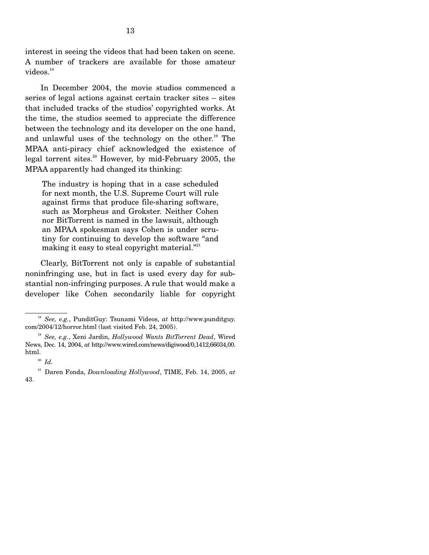interest in seeing the videos that had been taken on scene. A number of trackers are available for those amateur videos.<sup>18</sup>

 In December 2004, the movie studios commenced a series of legal actions against certain tracker sites – sites that included tracks of the studios' copyrighted works. At the time, the studios seemed to appreciate the difference between the technology and its developer on the one hand, and unlawful uses of the technology on the other.<sup>19</sup> The MPAA anti-piracy chief acknowledged the existence of legal torrent sites.<sup>20</sup> However, by mid-February 2005, the MPAA apparently had changed its thinking:

The industry is hoping that in a case scheduled for next month, the U.S. Supreme Court will rule against firms that produce file-sharing software, such as Morpheus and Grokster. Neither Cohen nor BitTorrent is named in the lawsuit, although an MPAA spokesman says Cohen is under scrutiny for continuing to develop the software "and making it easy to steal copyright material."<sup>21</sup>

 Clearly, BitTorrent not only is capable of substantial noninfringing use, but in fact is used every day for substantial non-infringing purposes. A rule that would make a developer like Cohen secondarily liable for copyright

<sup>18</sup> *See, e.g.*, PunditGuy: Tsunami Videos, *at* http://www.punditguy. com/2004/12/horror.html (last visited Feb. 24, 2005).

<sup>19</sup> *See, e.g.*, Xeni Jardin, *Hollywood Wants BitTorrent Dead*, Wired News, Dec. 14, 2004, *at* http://www.wired.com/news/digiwood/0,1412,66034,00. html.

<sup>20</sup> *Id.*

21 Daren Fonda, *Downloading Hollywood*, TIME, Feb. 14, 2005, *at* 43.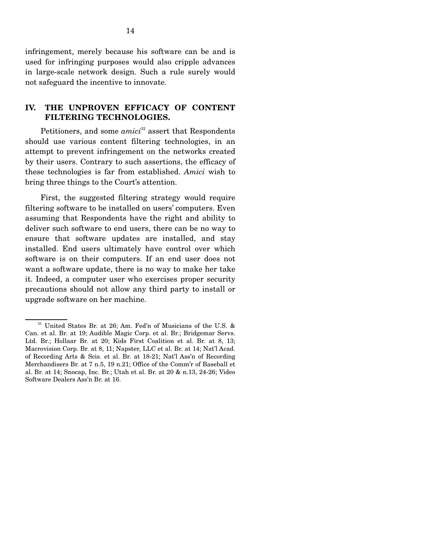infringement, merely because his software can be and is used for infringing purposes would also cripple advances in large-scale network design. Such a rule surely would not safeguard the incentive to innovate.

## **IV. THE UNPROVEN EFFICACY OF CONTENT FILTERING TECHNOLOGIES.**

Petitioners, and some *amici*<sup>22</sup> assert that Respondents should use various content filtering technologies, in an attempt to prevent infringement on the networks created by their users. Contrary to such assertions, the efficacy of these technologies is far from established. *Amici* wish to bring three things to the Court's attention.

 First, the suggested filtering strategy would require filtering software to be installed on users' computers. Even assuming that Respondents have the right and ability to deliver such software to end users, there can be no way to ensure that software updates are installed, and stay installed. End users ultimately have control over which software is on their computers. If an end user does not want a software update, there is no way to make her take it. Indeed, a computer user who exercises proper security precautions should not allow any third party to install or upgrade software on her machine.

 $22$  United States Br. at 26; Am. Fed'n of Musicians of the U.S. & Can. et al. Br. at 19; Audible Magic Corp. et al. Br.; Bridgemar Servs. Ltd. Br.; Hollaar Br. at 20; Kids First Coalition et al. Br. at 8, 13; Macrovision Corp. Br. at 8, 11; Napster, LLC et al. Br. at 14; Nat'l Acad. of Recording Arts & Scis. et al. Br. at 18-21; Nat'l Ass'n of Recording Merchandisers Br. at 7 n.5, 19 n.21; Office of the Comm'r of Baseball et al. Br. at 14; Snocap, Inc. Br.; Utah et al. Br. at 20 & n.13, 24-26; Video Software Dealers Ass'n Br. at 16.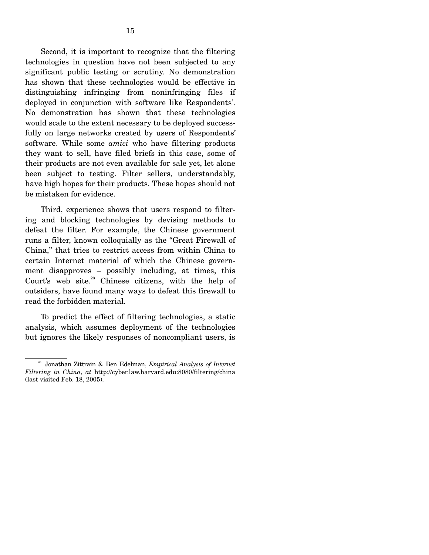Second, it is important to recognize that the filtering technologies in question have not been subjected to any significant public testing or scrutiny. No demonstration has shown that these technologies would be effective in distinguishing infringing from noninfringing files if deployed in conjunction with software like Respondents'. No demonstration has shown that these technologies would scale to the extent necessary to be deployed successfully on large networks created by users of Respondents' software. While some *amici* who have filtering products they want to sell, have filed briefs in this case, some of their products are not even available for sale yet, let alone been subject to testing. Filter sellers, understandably, have high hopes for their products. These hopes should not be mistaken for evidence.

 Third, experience shows that users respond to filtering and blocking technologies by devising methods to defeat the filter. For example, the Chinese government runs a filter, known colloquially as the "Great Firewall of China," that tries to restrict access from within China to certain Internet material of which the Chinese government disapproves – possibly including, at times, this Court's web site.<sup>23</sup> Chinese citizens, with the help of outsiders, have found many ways to defeat this firewall to read the forbidden material.

 To predict the effect of filtering technologies, a static analysis, which assumes deployment of the technologies but ignores the likely responses of noncompliant users, is

23 Jonathan Zittrain & Ben Edelman, *Empirical Analysis of Internet Filtering in China*, *at* http://cyber.law.harvard.edu:8080/filtering/china (last visited Feb. 18, 2005).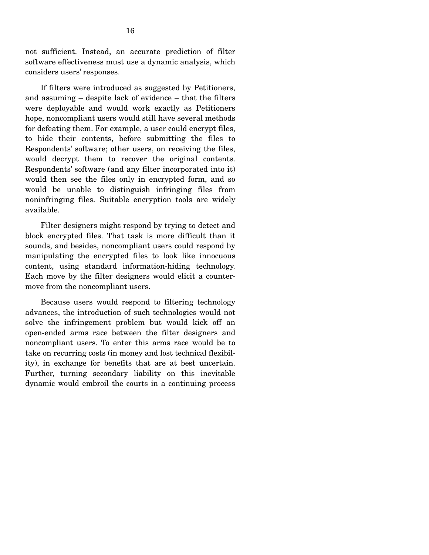not sufficient. Instead, an accurate prediction of filter software effectiveness must use a dynamic analysis, which considers users' responses.

 If filters were introduced as suggested by Petitioners, and assuming – despite lack of evidence – that the filters were deployable and would work exactly as Petitioners hope, noncompliant users would still have several methods for defeating them. For example, a user could encrypt files, to hide their contents, before submitting the files to Respondents' software; other users, on receiving the files, would decrypt them to recover the original contents. Respondents' software (and any filter incorporated into it) would then see the files only in encrypted form, and so would be unable to distinguish infringing files from noninfringing files. Suitable encryption tools are widely available.

 Filter designers might respond by trying to detect and block encrypted files. That task is more difficult than it sounds, and besides, noncompliant users could respond by manipulating the encrypted files to look like innocuous content, using standard information-hiding technology. Each move by the filter designers would elicit a countermove from the noncompliant users.

 Because users would respond to filtering technology advances, the introduction of such technologies would not solve the infringement problem but would kick off an open-ended arms race between the filter designers and noncompliant users. To enter this arms race would be to take on recurring costs (in money and lost technical flexibility), in exchange for benefits that are at best uncertain. Further, turning secondary liability on this inevitable dynamic would embroil the courts in a continuing process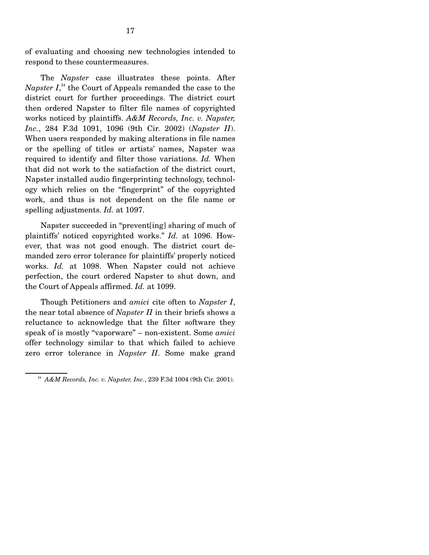of evaluating and choosing new technologies intended to respond to these countermeasures.

 The *Napster* case illustrates these points. After *Napster I*, 24 the Court of Appeals remanded the case to the district court for further proceedings. The district court then ordered Napster to filter file names of copyrighted works noticed by plaintiffs. *A&M Records, Inc. v. Napster, Inc.*, 284 F.3d 1091, 1096 (9th Cir. 2002) (*Napster II*). When users responded by making alterations in file names or the spelling of titles or artists' names, Napster was required to identify and filter those variations. *Id.* When that did not work to the satisfaction of the district court, Napster installed audio fingerprinting technology, technology which relies on the "fingerprint" of the copyrighted work, and thus is not dependent on the file name or spelling adjustments. *Id.* at 1097.

 Napster succeeded in "prevent[ing] sharing of much of plaintiffs' noticed copyrighted works." *Id.* at 1096. However, that was not good enough. The district court demanded zero error tolerance for plaintiffs' properly noticed works. *Id.* at 1098. When Napster could not achieve perfection, the court ordered Napster to shut down, and the Court of Appeals affirmed. *Id.* at 1099.

 Though Petitioners and *amici* cite often to *Napster I*, the near total absence of *Napster II* in their briefs shows a reluctance to acknowledge that the filter software they speak of is mostly "vaporware" – non-existent. Some *amici* offer technology similar to that which failed to achieve zero error tolerance in *Napster II*. Some make grand

<sup>24</sup> *A&M Records, Inc. v. Napster, Inc.*, 239 F.3d 1004 (9th Cir. 2001).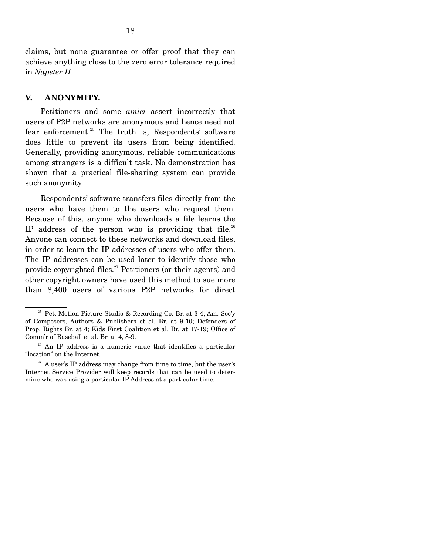claims, but none guarantee or offer proof that they can achieve anything close to the zero error tolerance required in *Napster II*.

#### **V. ANONYMITY.**

 Petitioners and some *amici* assert incorrectly that users of P2P networks are anonymous and hence need not fear enforcement.<sup>25</sup> The truth is, Respondents' software does little to prevent its users from being identified. Generally, providing anonymous, reliable communications among strangers is a difficult task. No demonstration has shown that a practical file-sharing system can provide such anonymity.

 Respondents' software transfers files directly from the users who have them to the users who request them. Because of this, anyone who downloads a file learns the IP address of the person who is providing that file.<sup>26</sup> Anyone can connect to these networks and download files, in order to learn the IP addresses of users who offer them. The IP addresses can be used later to identify those who provide copyrighted files. $27$  Petitioners (or their agents) and other copyright owners have used this method to sue more than 8,400 users of various P2P networks for direct

<sup>&</sup>lt;sup>25</sup> Pet. Motion Picture Studio & Recording Co. Br. at 3-4; Am. Soc'y of Composers, Authors & Publishers et al. Br. at 9-10; Defenders of Prop. Rights Br. at 4; Kids First Coalition et al. Br. at 17-19; Office of Comm'r of Baseball et al. Br. at 4, 8-9.

<sup>&</sup>lt;sup>26</sup> An IP address is a numeric value that identifies a particular "location" on the Internet.

 $^{27}$  A user's IP address may change from time to time, but the user's Internet Service Provider will keep records that can be used to determine who was using a particular IP Address at a particular time.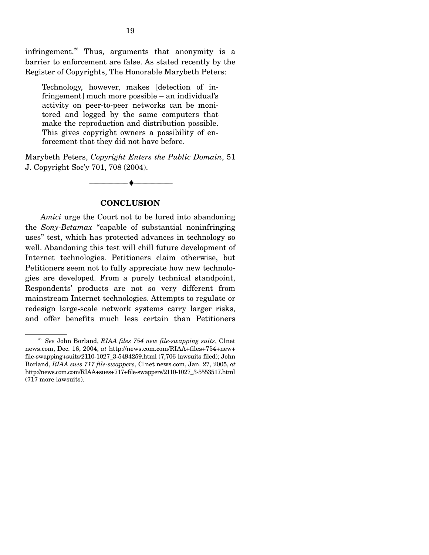infringement.<sup>28</sup> Thus, arguments that anonymity is a barrier to enforcement are false. As stated recently by the Register of Copyrights, The Honorable Marybeth Peters:

Technology, however, makes [detection of infringement] much more possible – an individual's activity on peer-to-peer networks can be monitored and logged by the same computers that make the reproduction and distribution possible. This gives copyright owners a possibility of enforcement that they did not have before.

Marybeth Peters, *Copyright Enters the Public Domain*, 51 J. Copyright Soc'y 701, 708 (2004).



### **CONCLUSION**

 *Amici* urge the Court not to be lured into abandoning the *Sony-Betamax* "capable of substantial noninfringing uses" test, which has protected advances in technology so well. Abandoning this test will chill future development of Internet technologies. Petitioners claim otherwise, but Petitioners seem not to fully appreciate how new technologies are developed. From a purely technical standpoint, Respondents' products are not so very different from mainstream Internet technologies. Attempts to regulate or redesign large-scale network systems carry larger risks, and offer benefits much less certain than Petitioners

<sup>&</sup>lt;sup>28</sup> *See* John Borland, *RIAA files 754 new file-swapping suits*, Clnet news.com, Dec. 16, 2004, *at* http://news.com.com/RIAA+files+754+new+ file-swapping+suits/2110-1027\_3-5494259.html  $(7,706$  lawsuits filed); John Borland, *RIAA sues 717 file-swappers*, C|net news.com, Jan. 27, 2005, *at*  http://news.com.com/RIAA+sues+717+file-swappers/2110-1027\_3-5553517.html (717 more lawsuits).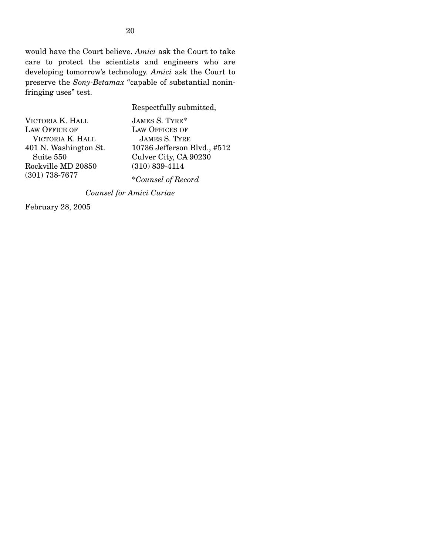would have the Court believe. *Amici* ask the Court to take care to protect the scientists and engineers who are developing tomorrow's technology. *Amici* ask the Court to preserve the *Sony-Betamax* "capable of substantial noninfringing uses" test.

Respectfully submitted,

| VICTORIA K. HALL      |
|-----------------------|
| <b>LAW OFFICE OF</b>  |
| VICTORIA K. HALL      |
| 401 N. Washington St. |
| Suite 550             |
| Rockville MD 20850    |
| $(301)$ 738-7677      |

JAMES S. TYRE\* LAW OFFICES OF JAMES S. TYRE 10736 Jefferson Blvd., #512 Culver City, CA 90230 (310) 839-4114 \**Counsel of Record*

*Counsel for Amici Curiae*

February 28, 2005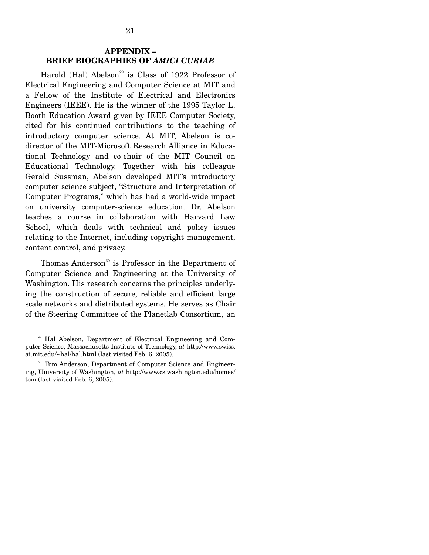## **APPENDIX – BRIEF BIOGRAPHIES OF** *AMICI CURIAE*

Harold (Hal) Abelson<sup>29</sup> is Class of 1922 Professor of Electrical Engineering and Computer Science at MIT and a Fellow of the Institute of Electrical and Electronics Engineers (IEEE). He is the winner of the 1995 Taylor L. Booth Education Award given by IEEE Computer Society, cited for his continued contributions to the teaching of introductory computer science. At MIT, Abelson is codirector of the MIT-Microsoft Research Alliance in Educational Technology and co-chair of the MIT Council on Educational Technology. Together with his colleague Gerald Sussman, Abelson developed MIT's introductory computer science subject, "Structure and Interpretation of Computer Programs," which has had a world-wide impact on university computer-science education. Dr. Abelson teaches a course in collaboration with Harvard Law School, which deals with technical and policy issues relating to the Internet, including copyright management, content control, and privacy.

Thomas Anderson<sup>30</sup> is Professor in the Department of Computer Science and Engineering at the University of Washington. His research concerns the principles underlying the construction of secure, reliable and efficient large scale networks and distributed systems. He serves as Chair of the Steering Committee of the Planetlab Consortium, an

<sup>&</sup>lt;sup>29</sup> Hal Abelson, Department of Electrical Engineering and Computer Science, Massachusetts Institute of Technology, *at* http://www.swiss. ai.mit.edu/~hal/hal.html (last visited Feb. 6, 2005).

<sup>&</sup>lt;sup>30</sup> Tom Anderson, Department of Computer Science and Engineering, University of Washington, *at* http://www.cs.washington.edu/homes/ tom (last visited Feb. 6, 2005).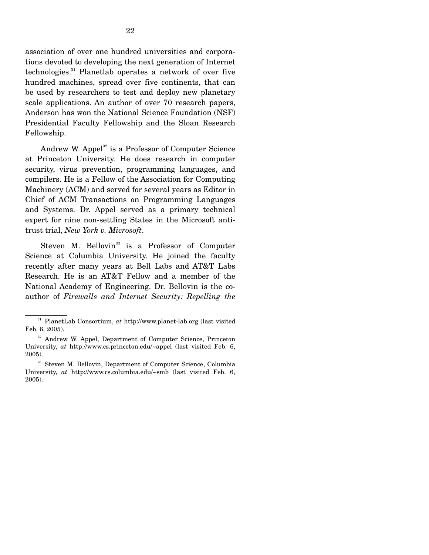association of over one hundred universities and corporations devoted to developing the next generation of Internet technologies.<sup>31</sup> Planetlab operates a network of over five hundred machines, spread over five continents, that can be used by researchers to test and deploy new planetary scale applications. An author of over 70 research papers, Anderson has won the National Science Foundation (NSF) Presidential Faculty Fellowship and the Sloan Research Fellowship.

Andrew W. Appel<sup>32</sup> is a Professor of Computer Science at Princeton University. He does research in computer security, virus prevention, programming languages, and compilers. He is a Fellow of the Association for Computing Machinery (ACM) and served for several years as Editor in Chief of ACM Transactions on Programming Languages and Systems. Dr. Appel served as a primary technical expert for nine non-settling States in the Microsoft antitrust trial, *New York v. Microsoft*.

Steven M. Bellovin<sup>33</sup> is a Professor of Computer Science at Columbia University. He joined the faculty recently after many years at Bell Labs and AT&T Labs Research. He is an AT&T Fellow and a member of the National Academy of Engineering. Dr. Bellovin is the coauthor of *Firewalls and Internet Security: Repelling the* 

31 PlanetLab Consortium, *at* http://www.planet-lab.org (last visited Feb. 6, 2005).

<sup>&</sup>lt;sup>32</sup> Andrew W. Appel, Department of Computer Science, Princeton University, *at* http://www.cs.princeton.edu/~appel (last visited Feb. 6, 2005).

<sup>&</sup>lt;sup>33</sup> Steven M. Bellovin, Department of Computer Science, Columbia University, *at* http://www.cs.columbia.edu/~smb (last visited Feb. 6, 2005).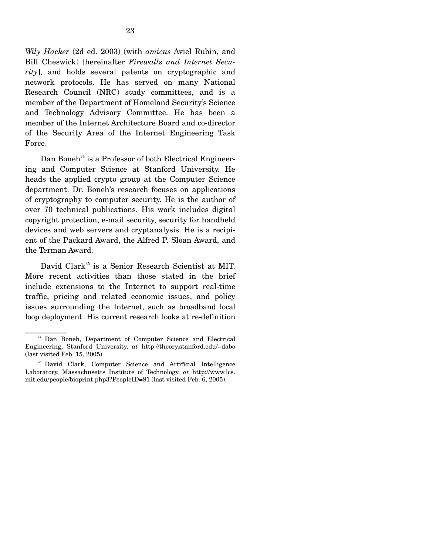*Wily Hacker* (2d ed. 2003) (with *amicus* Aviel Rubin, and Bill Cheswick) [hereinafter *Firewalls and Internet Security*], and holds several patents on cryptographic and network protocols. He has served on many National Research Council (NRC) study committees, and is a member of the Department of Homeland Security's Science and Technology Advisory Committee. He has been a member of the Internet Architecture Board and co-director of the Security Area of the Internet Engineering Task Force.

Dan Boneh<sup>34</sup> is a Professor of both Electrical Engineering and Computer Science at Stanford University. He heads the applied crypto group at the Computer Science department. Dr. Boneh's research focuses on applications of cryptography to computer security. He is the author of over 70 technical publications. His work includes digital copyright protection, e-mail security, security for handheld devices and web servers and cryptanalysis. He is a recipient of the Packard Award, the Alfred P. Sloan Award, and the Terman Award.

David Clark<sup>35</sup> is a Senior Research Scientist at MIT. More recent activities than those stated in the brief include extensions to the Internet to support real-time traffic, pricing and related economic issues, and policy issues surrounding the Internet, such as broadband local loop deployment. His current research looks at re-definition

<sup>&</sup>lt;sup>34</sup> Dan Boneh, Department of Computer Science and Electrical Engineering, Stanford University, *at* http://theory.stanford.edu/~dabo (last visited Feb. 15, 2005).

35 David Clark, Computer Science and Artificial Intelligence Laboratory, Massachusetts Institute of Technology, *at* http://www.lcs. mit.edu/people/bioprint.php3?PeopleID=81 (last visited Feb. 6, 2005).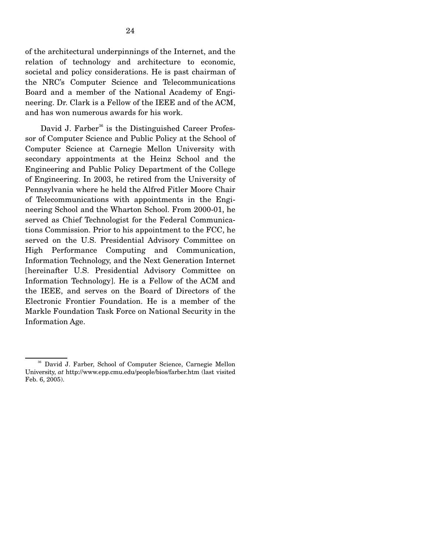of the architectural underpinnings of the Internet, and the relation of technology and architecture to economic, societal and policy considerations. He is past chairman of the NRC's Computer Science and Telecommunications Board and a member of the National Academy of Engineering. Dr. Clark is a Fellow of the IEEE and of the ACM, and has won numerous awards for his work.

David J. Farber<sup>36</sup> is the Distinguished Career Professor of Computer Science and Public Policy at the School of Computer Science at Carnegie Mellon University with secondary appointments at the Heinz School and the Engineering and Public Policy Department of the College of Engineering. In 2003, he retired from the University of Pennsylvania where he held the Alfred Fitler Moore Chair of Telecommunications with appointments in the Engineering School and the Wharton School. From 2000-01, he served as Chief Technologist for the Federal Communications Commission. Prior to his appointment to the FCC, he served on the U.S. Presidential Advisory Committee on High Performance Computing and Communication, Information Technology, and the Next Generation Internet [hereinafter U.S. Presidential Advisory Committee on Information Technology]. He is a Fellow of the ACM and the IEEE, and serves on the Board of Directors of the Electronic Frontier Foundation. He is a member of the Markle Foundation Task Force on National Security in the Information Age.

36 David J. Farber, School of Computer Science, Carnegie Mellon University, *at* http://www.epp.cmu.edu/people/bios/farber.htm (last visited Feb. 6, 2005).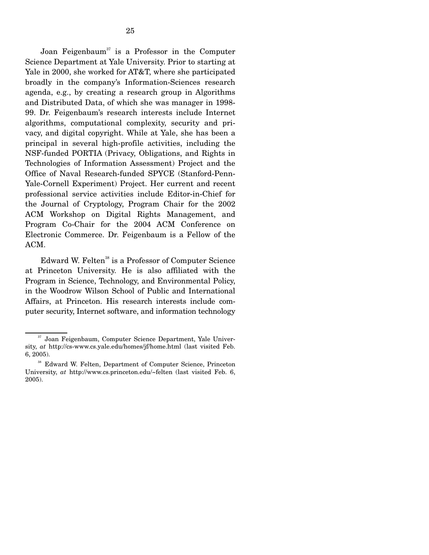Joan Feigenbaum<sup>37</sup> is a Professor in the Computer Science Department at Yale University. Prior to starting at Yale in 2000, she worked for AT&T, where she participated broadly in the company's Information-Sciences research agenda, e.g., by creating a research group in Algorithms and Distributed Data, of which she was manager in 1998- 99. Dr. Feigenbaum's research interests include Internet algorithms, computational complexity, security and privacy, and digital copyright. While at Yale, she has been a principal in several high-profile activities, including the NSF-funded PORTIA (Privacy, Obligations, and Rights in Technologies of Information Assessment) Project and the Office of Naval Research-funded SPYCE (Stanford-Penn-Yale-Cornell Experiment) Project. Her current and recent professional service activities include Editor-in-Chief for the Journal of Cryptology, Program Chair for the 2002 ACM Workshop on Digital Rights Management, and Program Co-Chair for the 2004 ACM Conference on Electronic Commerce. Dr. Feigenbaum is a Fellow of the ACM.

Edward W. Felten<sup>38</sup> is a Professor of Computer Science at Princeton University. He is also affiliated with the Program in Science, Technology, and Environmental Policy, in the Woodrow Wilson School of Public and International Affairs, at Princeton. His research interests include computer security, Internet software, and information technology

37 Joan Feigenbaum, Computer Science Department, Yale University, *at* http://cs-www.cs.yale.edu/homes/jf/home.html (last visited Feb. 6, 2005).

38 Edward W. Felten, Department of Computer Science, Princeton University, *at* http://www.cs.princeton.edu/~felten (last visited Feb. 6, 2005).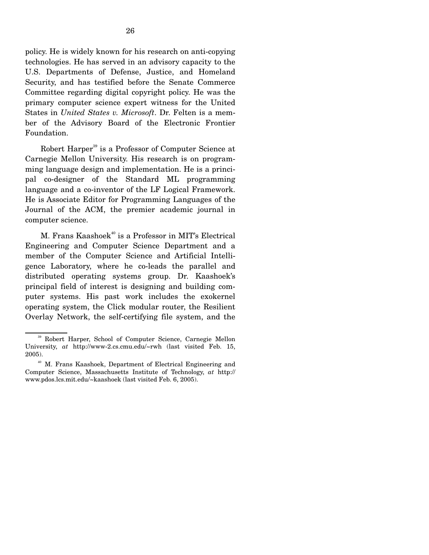policy. He is widely known for his research on anti-copying technologies. He has served in an advisory capacity to the U.S. Departments of Defense, Justice, and Homeland Security, and has testified before the Senate Commerce Committee regarding digital copyright policy. He was the primary computer science expert witness for the United States in *United States v. Microsoft*. Dr. Felten is a member of the Advisory Board of the Electronic Frontier Foundation.

Robert Harper<sup>39</sup> is a Professor of Computer Science at Carnegie Mellon University. His research is on programming language design and implementation. He is a principal co-designer of the Standard ML programming language and a co-inventor of the LF Logical Framework. He is Associate Editor for Programming Languages of the Journal of the ACM, the premier academic journal in computer science.

M. Frans Kaashoek<sup>40</sup> is a Professor in MIT's Electrical Engineering and Computer Science Department and a member of the Computer Science and Artificial Intelligence Laboratory, where he co-leads the parallel and distributed operating systems group. Dr. Kaashoek's principal field of interest is designing and building computer systems. His past work includes the exokernel operating system, the Click modular router, the Resilient Overlay Network, the self-certifying file system, and the

39 Robert Harper, School of Computer Science, Carnegie Mellon University, *at* http://www-2.cs.cmu.edu/~rwh (last visited Feb. 15, 2005).

40 M. Frans Kaashoek, Department of Electrical Engineering and Computer Science, Massachusetts Institute of Technology, *at* http:// www.pdos.lcs.mit.edu/~kaashoek (last visited Feb. 6, 2005).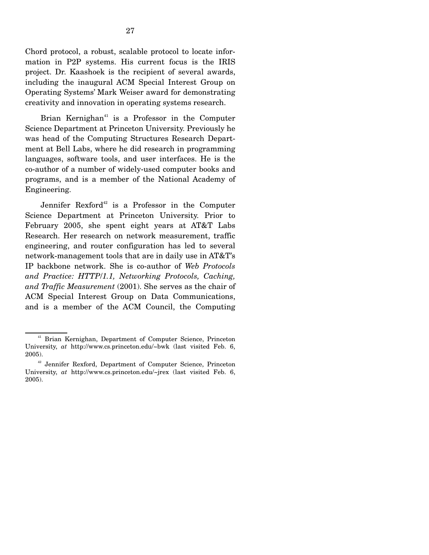Brian Kernighan $41$  is a Professor in the Computer Science Department at Princeton University. Previously he was head of the Computing Structures Research Department at Bell Labs, where he did research in programming languages, software tools, and user interfaces. He is the co-author of a number of widely-used computer books and programs, and is a member of the National Academy of Engineering.

Jennifer Rexford<sup>42</sup> is a Professor in the Computer Science Department at Princeton University. Prior to February 2005, she spent eight years at AT&T Labs Research. Her research on network measurement, traffic engineering, and router configuration has led to several network-management tools that are in daily use in AT&T's IP backbone network. She is co-author of *Web Protocols and Practice: HTTP*/*1.1, Networking Protocols, Caching, and Traffic Measurement* (2001). She serves as the chair of ACM Special Interest Group on Data Communications, and is a member of the ACM Council, the Computing

41 Brian Kernighan, Department of Computer Science, Princeton University, *at* http://www.cs.princeton.edu/~bwk (last visited Feb. 6, 2005).

42 Jennifer Rexford, Department of Computer Science, Princeton University, *at* http://www.cs.princeton.edu/~jrex (last visited Feb. 6, 2005).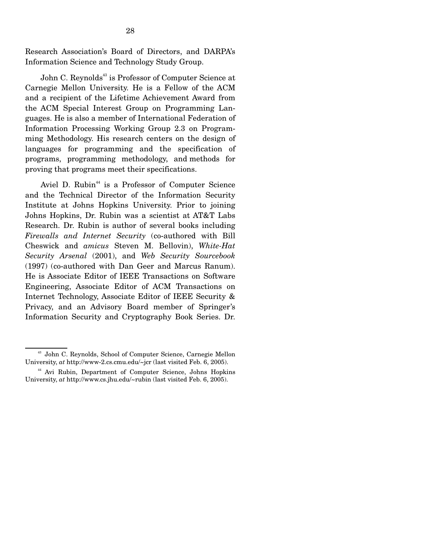Research Association's Board of Directors, and DARPA's Information Science and Technology Study Group.

John C. Reynolds<sup>43</sup> is Professor of Computer Science at Carnegie Mellon University. He is a Fellow of the ACM and a recipient of the Lifetime Achievement Award from the ACM Special Interest Group on Programming Languages. He is also a member of International Federation of Information Processing Working Group 2.3 on Programming Methodology. His research centers on the design of languages for programming and the specification of programs, programming methodology, and methods for proving that programs meet their specifications.

Aviel D. Rubin<sup>44</sup> is a Professor of Computer Science and the Technical Director of the Information Security Institute at Johns Hopkins University. Prior to joining Johns Hopkins, Dr. Rubin was a scientist at AT&T Labs Research. Dr. Rubin is author of several books including *Firewalls and Internet Security* (co-authored with Bill Cheswick and *amicus* Steven M. Bellovin), *White-Hat Security Arsenal* (2001), and *Web Security Sourcebook* (1997) (co-authored with Dan Geer and Marcus Ranum). He is Associate Editor of IEEE Transactions on Software Engineering, Associate Editor of ACM Transactions on Internet Technology, Associate Editor of IEEE Security & Privacy, and an Advisory Board member of Springer's Information Security and Cryptography Book Series. Dr.

43 John C. Reynolds, School of Computer Science, Carnegie Mellon University, *at* http://www-2.cs.cmu.edu/~jcr (last visited Feb. 6, 2005).

44 Avi Rubin, Department of Computer Science, Johns Hopkins University, *at* http://www.cs.jhu.edu/~rubin (last visited Feb. 6, 2005).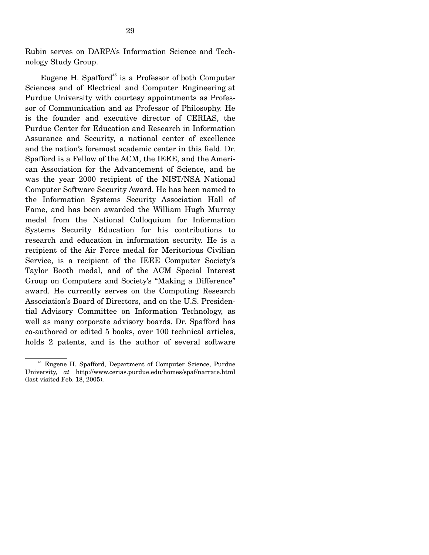Rubin serves on DARPA's Information Science and Technology Study Group.

Eugene H. Spafford<sup>45</sup> is a Professor of both Computer Sciences and of Electrical and Computer Engineering at Purdue University with courtesy appointments as Professor of Communication and as Professor of Philosophy. He is the founder and executive director of CERIAS, the Purdue Center for Education and Research in Information Assurance and Security, a national center of excellence and the nation's foremost academic center in this field. Dr. Spafford is a Fellow of the ACM, the IEEE, and the American Association for the Advancement of Science, and he was the year 2000 recipient of the NIST/NSA National Computer Software Security Award. He has been named to the Information Systems Security Association Hall of Fame, and has been awarded the William Hugh Murray medal from the National Colloquium for Information Systems Security Education for his contributions to research and education in information security. He is a recipient of the Air Force medal for Meritorious Civilian Service, is a recipient of the IEEE Computer Society's Taylor Booth medal, and of the ACM Special Interest Group on Computers and Society's "Making a Difference" award. He currently serves on the Computing Research Association's Board of Directors, and on the U.S. Presidential Advisory Committee on Information Technology, as well as many corporate advisory boards. Dr. Spafford has co-authored or edited 5 books, over 100 technical articles, holds 2 patents, and is the author of several software

45 Eugene H. Spafford, Department of Computer Science, Purdue University, *at* http://www.cerias.purdue.edu/homes/spaf/narrate.html (last visited Feb. 18, 2005).